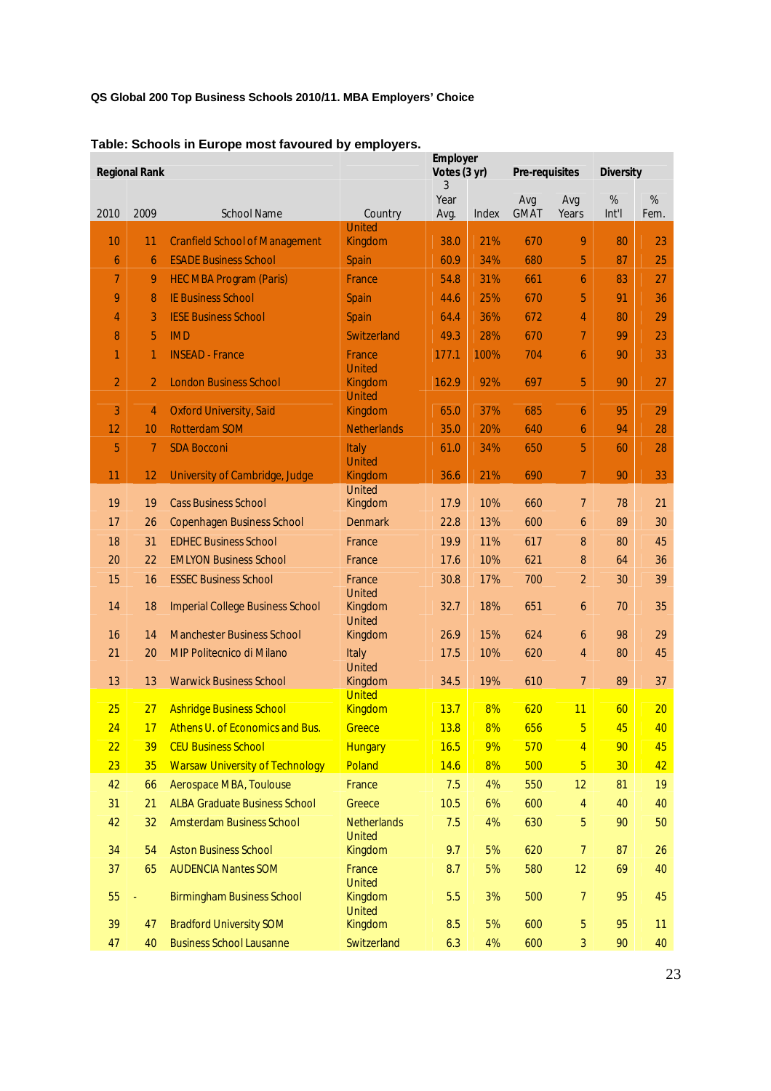## **QS Global 200 Top Business Schools 2010/11. MBA Employers' Choice**

|                | <b>Regional Rank</b> |                                         |                                     | <b>Employer</b><br>Votes (3 yr)<br>3 |       | <b>Pre-requisites</b> |                 | <b>Diversity</b> |                 |
|----------------|----------------------|-----------------------------------------|-------------------------------------|--------------------------------------|-------|-----------------------|-----------------|------------------|-----------------|
| 2010           | 2009                 | <b>School Name</b>                      | Country                             | Year<br>Avg.                         | Index | Avg<br><b>GMAT</b>    | Avg<br>Years    | %<br>Int'l       | $\%$<br>Fem.    |
| 10             | 11                   | <b>Cranfield School of Management</b>   | <b>United</b><br>Kingdom            | 38.0                                 | 21%   | 670                   | 9               | 80               | 23              |
| 6              | 6                    | <b>ESADE Business School</b>            | Spain                               | 60.9                                 | 34%   | 680                   | 5               | 87               | $\overline{25}$ |
| 7              | 9                    | <b>HEC MBA Program (Paris)</b>          | France                              | 54.8                                 | 31%   | 661                   | 6               | 83               | 27              |
| 9              | 8                    | <b>IE Business School</b>               | Spain                               | 44.6                                 | 25%   | 670                   | 5               | 91               | 36              |
| 4              | 3                    | <b>IESE Business School</b>             | Spain                               | 64.4                                 | 36%   | 672                   | $\overline{4}$  | 80               | 29              |
| 8              | 5                    | <b>IMD</b>                              | Switzerland                         | 49.3                                 | 28%   | 670                   | $\overline{7}$  | 99               | 23              |
| 1              | $\mathbf{1}$         | <b>INSEAD - France</b>                  | France<br><b>United</b>             | 177.1                                | 100%  | 704                   | 6               | 90               | 33              |
| $\overline{2}$ | 2                    | <b>London Business School</b>           | Kingdom<br><b>United</b>            | 162.9                                | 92%   | 697                   | 5               | 90               | 27              |
| 3              | 4                    | <b>Oxford University, Said</b>          | Kingdom                             | 65.0                                 | 37%   | 685                   | 6               | 95               | 29              |
| 12             | 10                   | <b>Rotterdam SOM</b>                    | <b>Netherlands</b>                  | 35.0                                 | 20%   | 640                   | 6               | 94               | 28              |
| 5              | 7                    | <b>SDA Bocconi</b>                      | Italy<br>United                     | 61.0                                 | 34%   | 650                   | 5               | 60               | 28              |
| 11             | 12 <sup>2</sup>      | University of Cambridge, Judge          | Kingdom<br><b>United</b>            | 36.6                                 | 21%   | 690                   | $\overline{7}$  | 90               | 33              |
| 19             | 19                   | <b>Cass Business School</b>             | Kingdom                             | 17.9                                 | 10%   | 660                   | $\overline{7}$  | 78               | 21              |
| 17             | 26                   | <b>Copenhagen Business School</b>       | <b>Denmark</b>                      | 22.8                                 | 13%   | 600                   | 6               | 89               | 30              |
| 18             | 31                   | <b>EDHEC Business School</b>            | France                              | 19.9                                 | 11%   | 617                   | 8               | 80               | 45              |
| 20             | 22                   | <b>EMLYON Business School</b>           | France                              | 17.6                                 | 10%   | 621                   | 8               | 64               | 36              |
| 15             | 16                   | <b>ESSEC Business School</b>            | France<br><b>United</b>             | 30.8                                 | 17%   | 700                   | $\overline{2}$  | 30               | 39              |
| 14             | 18                   | <b>Imperial College Business School</b> | Kingdom<br>United                   | 32.7                                 | 18%   | 651                   | 6               | 70               | 35              |
| 16             | 14                   | <b>Manchester Business School</b>       | Kingdom                             | 26.9                                 | 15%   | 624                   | 6               | 98               | 29              |
| 21             | 20                   | <b>MIP Politecnico di Milano</b>        | <b>Italy</b><br><b>United</b>       | 17.5                                 | 10%   | 620                   | $\overline{4}$  | 80               | 45              |
| 13             | 13                   | <b>Warwick Business School</b>          | Kingdom<br><b>United</b>            | 34.5                                 | 19%   | 610                   | $\overline{7}$  | 89               | 37              |
| 25             | 27                   | <b>Ashridge Business School</b>         | <b>Kingdom</b>                      | 13.7                                 | 8%    | 620                   | 11              | 60               | 20              |
| 24             | 17                   | Athens U. of Economics and Bus.         | Greece                              | 13.8                                 | 8%    | 656                   | 5               | 45               | 40              |
| 22             | 39                   | <b>CEU Business School</b>              | <b>Hungary</b>                      | 16.5                                 | 9%    | 570                   | $\overline{4}$  | 90               | 45              |
| 23             | 35                   | <b>Warsaw University of Technology</b>  | Poland                              | 14.6                                 | 8%    | 500                   | $5\phantom{.0}$ | 30               | 42              |
| 42             | 66                   | Aerospace MBA, Toulouse                 | France                              | 7.5                                  | 4%    | 550                   | 12              | 81               | 19              |
| 31             | 21                   | <b>ALBA Graduate Business School</b>    | Greece                              | 10.5                                 | 6%    | 600                   | 4               | 40               | 40              |
| 42             | 32                   | <b>Amsterdam Business School</b>        | <b>Netherlands</b><br><b>United</b> | 7.5                                  | 4%    | 630                   | 5               | 90               | 50              |
| 34             | 54                   | <b>Aston Business School</b>            | Kingdom                             | 9.7                                  | 5%    | 620                   | 7               | 87               | 26              |
| 37             | 65                   | <b>AUDENCIA Nantes SOM</b>              | France<br><b>United</b>             | 8.7                                  | 5%    | 580                   | 12              | 69               | 40              |
| 55             |                      | <b>Birmingham Business School</b>       | Kingdom<br><b>United</b>            | 5.5                                  | 3%    | 500                   | 7               | 95               | 45              |
| 39             | 47                   | <b>Bradford University SOM</b>          | Kingdom                             | 8.5                                  | 5%    | 600                   | 5               | 95               | 11              |
| 47             | 40                   | <b>Business School Lausanne</b>         | Switzerland                         | 6.3                                  | 4%    | 600                   | 3               | 90               | 40              |

## **Table: Schools in Europe most favoured by employers.**